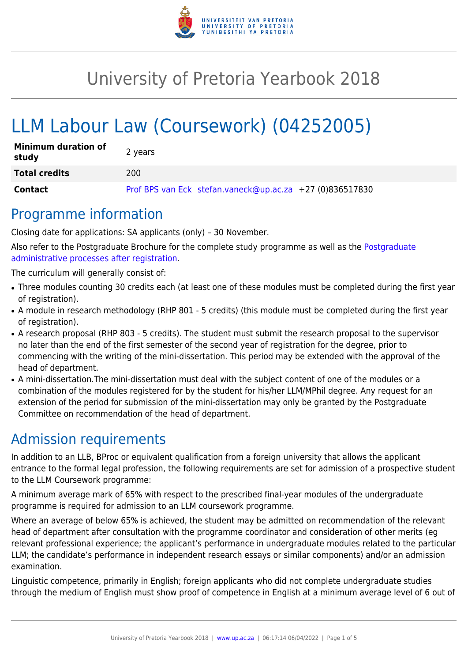

# University of Pretoria Yearbook 2018

# LLM Labour Law (Coursework) (04252005)

| <b>Minimum duration of</b><br>study | 2 years                                                  |
|-------------------------------------|----------------------------------------------------------|
| <b>Total credits</b>                | 200                                                      |
| <b>Contact</b>                      | Prof BPS van Eck stefan.vaneck@up.ac.za +27 (0)836517830 |

### Programme information

Closing date for applications: SA applicants (only) – 30 November.

Also refer to the Postgraduate Brochure for the complete study programme as well as the [Postgraduate](http://www.up.ac.za/media/shared/10/ZP_Files/post-graduate-administrative-processes-brochures-for-the-faculty-web.zp124870.pdf) [administrative processes after registration.](http://www.up.ac.za/media/shared/10/ZP_Files/post-graduate-administrative-processes-brochures-for-the-faculty-web.zp124870.pdf)

The curriculum will generally consist of:

- Three modules counting 30 credits each (at least one of these modules must be completed during the first year of registration).
- A module in research methodology (RHP 801 5 credits) (this module must be completed during the first year of registration).
- A research proposal (RHP 803 5 credits). The student must submit the research proposal to the supervisor no later than the end of the first semester of the second year of registration for the degree, prior to commencing with the writing of the mini-dissertation. This period may be extended with the approval of the head of department.
- A mini-dissertation. The mini-dissertation must deal with the subject content of one of the modules or a combination of the modules registered for by the student for his/her LLM/MPhil degree. Any request for an extension of the period for submission of the mini-dissertation may only be granted by the Postgraduate Committee on recommendation of the head of department.

# Admission requirements

In addition to an LLB, BProc or equivalent qualification from a foreign university that allows the applicant entrance to the formal legal profession, the following requirements are set for admission of a prospective student to the LLM Coursework programme:

A minimum average mark of 65% with respect to the prescribed final-year modules of the undergraduate programme is required for admission to an LLM coursework programme.

Where an average of below 65% is achieved, the student may be admitted on recommendation of the relevant head of department after consultation with the programme coordinator and consideration of other merits (eg relevant professional experience; the applicant's performance in undergraduate modules related to the particular LLM; the candidate's performance in independent research essays or similar components) and/or an admission examination.

Linguistic competence, primarily in English; foreign applicants who did not complete undergraduate studies through the medium of English must show proof of competence in English at a minimum average level of 6 out of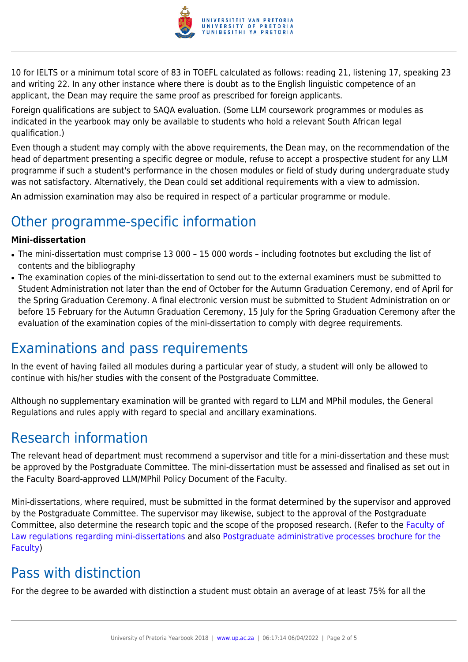

10 for IELTS or a minimum total score of 83 in TOEFL calculated as follows: reading 21, listening 17, speaking 23 and writing 22. In any other instance where there is doubt as to the English linguistic competence of an applicant, the Dean may require the same proof as prescribed for foreign applicants.

Foreign qualifications are subject to SAQA evaluation. (Some LLM coursework programmes or modules as indicated in the yearbook may only be available to students who hold a relevant South African legal qualification.)

Even though a student may comply with the above requirements, the Dean may, on the recommendation of the head of department presenting a specific degree or module, refuse to accept a prospective student for any LLM programme if such a student's performance in the chosen modules or field of study during undergraduate study was not satisfactory. Alternatively, the Dean could set additional requirements with a view to admission.

An admission examination may also be required in respect of a particular programme or module.

# Other programme-specific information

#### **Mini-dissertation**

- The mini-dissertation must comprise 13 000 15 000 words including footnotes but excluding the list of contents and the bibliography
- The examination copies of the mini-dissertation to send out to the external examiners must be submitted to Student Administration not later than the end of October for the Autumn Graduation Ceremony, end of April for the Spring Graduation Ceremony. A final electronic version must be submitted to Student Administration on or before 15 February for the Autumn Graduation Ceremony, 15 July for the Spring Graduation Ceremony after the evaluation of the examination copies of the mini-dissertation to comply with degree requirements.

## Examinations and pass requirements

In the event of having failed all modules during a particular year of study, a student will only be allowed to continue with his/her studies with the consent of the Postgraduate Committee.

Although no supplementary examination will be granted with regard to LLM and MPhil modules, the General Regulations and rules apply with regard to special and ancillary examinations.

### Research information

The relevant head of department must recommend a supervisor and title for a mini-dissertation and these must be approved by the Postgraduate Committee. The mini-dissertation must be assessed and finalised as set out in the Faculty Board-approved LLM/MPhil Policy Document of the Faculty.

Mini-dissertations, where required, must be submitted in the format determined by the supervisor and approved by the Postgraduate Committee. The supervisor may likewise, subject to the approval of the Postgraduate Committee, also determine the research topic and the scope of the proposed research. (Refer to the [Faculty of](http://www.up.ac.za/media/shared/10/ZP_Files/faculty-regulations-for-the-mini-dissertation.zp124872.pdf) [Law regulations regarding mini-dissertations](http://www.up.ac.za/media/shared/10/ZP_Files/faculty-regulations-for-the-mini-dissertation.zp124872.pdf) and also [Postgraduate administrative processes brochure for the](http://www.up.ac.za/media/shared/10/ZP_Files/post-graduate-administrative-processes-brochures-for-the-faculty-web.zp124870.pdf) [Faculty](http://www.up.ac.za/media/shared/10/ZP_Files/post-graduate-administrative-processes-brochures-for-the-faculty-web.zp124870.pdf))

# Pass with distinction

For the degree to be awarded with distinction a student must obtain an average of at least 75% for all the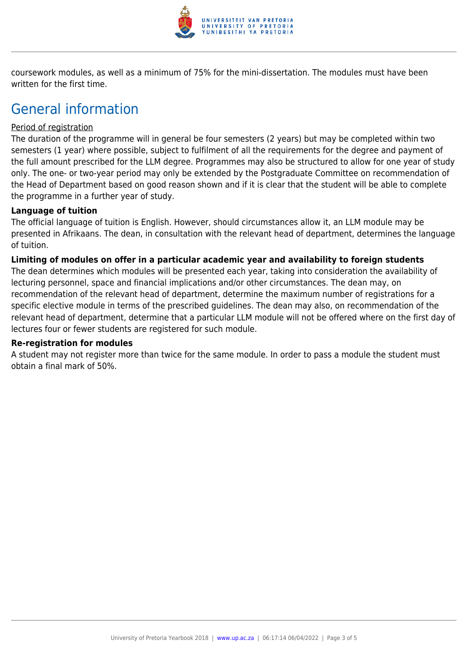

coursework modules, as well as a minimum of 75% for the mini-dissertation. The modules must have been written for the first time.

# General information

#### Period of registration

The duration of the programme will in general be four semesters (2 years) but may be completed within two semesters (1 year) where possible, subject to fulfilment of all the requirements for the degree and payment of the full amount prescribed for the LLM degree. Programmes may also be structured to allow for one year of study only. The one- or two-year period may only be extended by the Postgraduate Committee on recommendation of the Head of Department based on good reason shown and if it is clear that the student will be able to complete the programme in a further year of study.

#### **Language of tuition**

The official language of tuition is English. However, should circumstances allow it, an LLM module may be presented in Afrikaans. The dean, in consultation with the relevant head of department, determines the language of tuition.

#### **Limiting of modules on offer in a particular academic year and availability to foreign students**

The dean determines which modules will be presented each year, taking into consideration the availability of lecturing personnel, space and financial implications and/or other circumstances. The dean may, on recommendation of the relevant head of department, determine the maximum number of registrations for a specific elective module in terms of the prescribed guidelines. The dean may also, on recommendation of the relevant head of department, determine that a particular LLM module will not be offered where on the first day of lectures four or fewer students are registered for such module.

#### **Re-registration for modules**

A student may not register more than twice for the same module. In order to pass a module the student must obtain a final mark of 50%.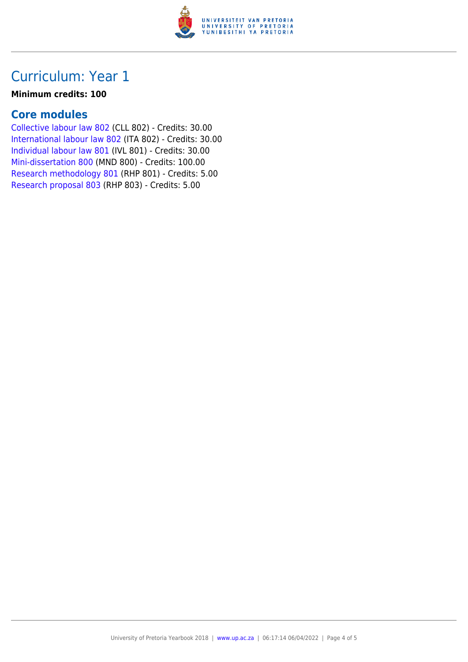

## Curriculum: Year 1

#### **Minimum credits: 100**

#### **Core modules**

[Collective labour law 802](https://www.up.ac.za/yearbooks/2018/modules/view/CLL 802) (CLL 802) - Credits: 30.00 [International labour law 802](https://www.up.ac.za/yearbooks/2018/modules/view/ITA 802) (ITA 802) - Credits: 30.00 [Individual labour law 801](https://www.up.ac.za/yearbooks/2018/modules/view/IVL 801) (IVL 801) - Credits: 30.00 [Mini-dissertation 800](https://www.up.ac.za/yearbooks/2018/modules/view/MND 800) (MND 800) - Credits: 100.00 [Research methodology 801](https://www.up.ac.za/yearbooks/2018/modules/view/RHP 801) (RHP 801) - Credits: 5.00 [Research proposal 803](https://www.up.ac.za/yearbooks/2018/modules/view/RHP 803) (RHP 803) - Credits: 5.00